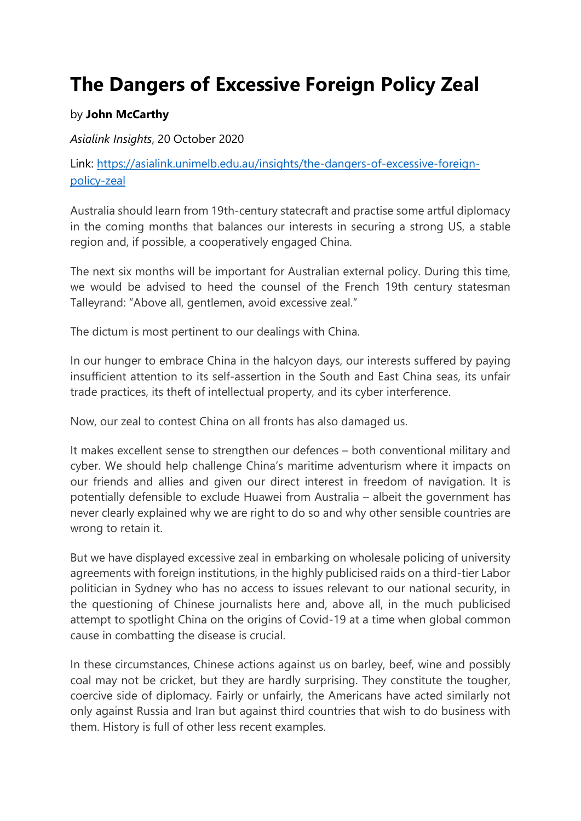## **The Dangers of Excessive Foreign Policy Zeal**

## by **John McCarthy**

*Asialink Insights*, 20 October 2020

Link: [https://asialink.unimelb.edu.au/insights/the-dangers-of-excessive-foreign](https://asialink.unimelb.edu.au/insights/the-dangers-of-excessive-foreign-policy-zeal)[policy-zeal](https://asialink.unimelb.edu.au/insights/the-dangers-of-excessive-foreign-policy-zeal)

Australia should learn from 19th-century statecraft and practise some artful diplomacy in the coming months that balances our interests in securing a strong US, a stable region and, if possible, a cooperatively engaged China.

The next six months will be important for Australian external policy. During this time, we would be advised to heed the counsel of the French 19th century statesman Talleyrand: "Above all, gentlemen, avoid excessive zeal."

The dictum is most pertinent to our dealings with China.

In our hunger to embrace China in the halcyon days, our interests suffered by paying insufficient attention to its self-assertion in the South and East China seas, its unfair trade practices, its theft of intellectual property, and its cyber interference.

Now, our zeal to contest China on all fronts has also damaged us.

It makes excellent sense to strengthen our defences – both conventional military and cyber. We should help challenge China's maritime adventurism where it impacts on our friends and allies and given our direct interest in freedom of navigation. It is potentially defensible to exclude Huawei from Australia – albeit the government has never clearly explained why we are right to do so and why other sensible countries are wrong to retain it.

But we have displayed excessive zeal in embarking on wholesale policing of university agreements with foreign institutions, in the highly publicised raids on a third-tier Labor politician in Sydney who has no access to issues relevant to our national security, in the questioning of Chinese journalists here and, above all, in the much publicised attempt to spotlight China on the origins of Covid-19 at a time when global common cause in combatting the disease is crucial.

In these circumstances, Chinese actions against us on barley, beef, wine and possibly coal may not be cricket, but they are hardly surprising. They constitute the tougher, coercive side of diplomacy. Fairly or unfairly, the Americans have acted similarly not only against Russia and Iran but against third countries that wish to do business with them. History is full of other less recent examples.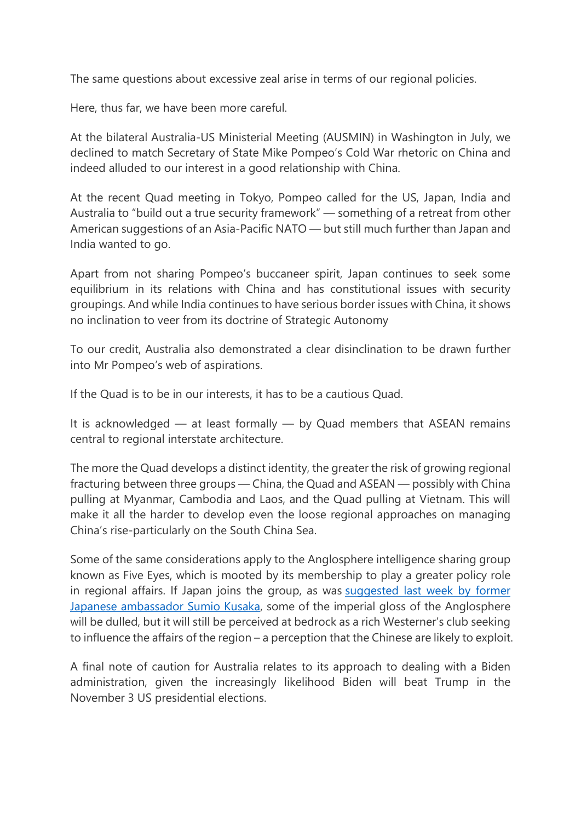The same questions about excessive zeal arise in terms of our regional policies.

Here, thus far, we have been more careful.

At the bilateral Australia-US Ministerial Meeting (AUSMIN) in Washington in July, we declined to match Secretary of State Mike Pompeo's Cold War rhetoric on China and indeed alluded to our interest in a good relationship with China.

At the recent Quad meeting in Tokyo, Pompeo called for the US, Japan, India and Australia to "build out a true security framework" — something of a retreat from other American suggestions of an Asia-Pacific NATO — but still much further than Japan and India wanted to go.

Apart from not sharing Pompeo's buccaneer spirit, Japan continues to seek some equilibrium in its relations with China and has constitutional issues with security groupings. And while India continues to have serious border issues with China, it shows no inclination to veer from its doctrine of Strategic Autonomy

To our credit, Australia also demonstrated a clear disinclination to be drawn further into Mr Pompeo's web of aspirations.

If the Quad is to be in our interests, it has to be a cautious Quad.

It is acknowledged — at least formally — by Quad members that ASEAN remains central to regional interstate architecture.

The more the Quad develops a distinct identity, the greater the risk of growing regional fracturing between three groups — China, the Quad and ASEAN — possibly with China pulling at Myanmar, Cambodia and Laos, and the Quad pulling at Vietnam. This will make it all the harder to develop even the loose regional approaches on managing China's rise-particularly on the South China Sea.

Some of the same considerations apply to the Anglosphere intelligence sharing group known as Five Eyes, which is mooted by its membership to play a greater policy role in regional affairs. If Japan joins the group, as was [suggested last week by former](https://asialink.unimelb.edu.au/insights/natural-partners-a-future-agenda-for-japan-australia-relations)  [Japanese ambassador Sumio Kusaka,](https://asialink.unimelb.edu.au/insights/natural-partners-a-future-agenda-for-japan-australia-relations) some of the imperial gloss of the Anglosphere will be dulled, but it will still be perceived at bedrock as a rich Westerner's club seeking to influence the affairs of the region – a perception that the Chinese are likely to exploit.

A final note of caution for Australia relates to its approach to dealing with a Biden administration, given the increasingly likelihood Biden will beat Trump in the November 3 US presidential elections.